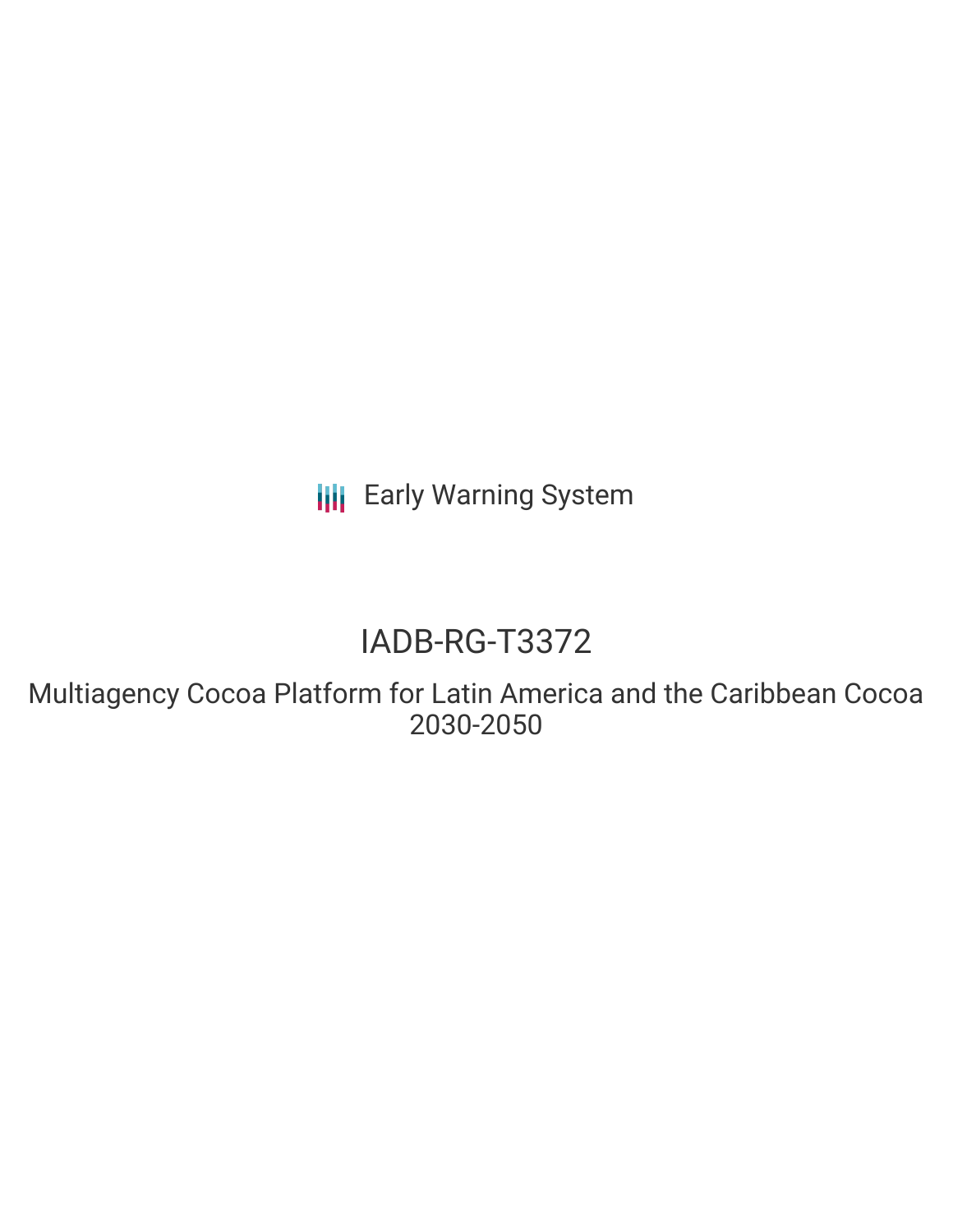**III** Early Warning System

## IADB-RG-T3372

Multiagency Cocoa Platform for Latin America and the Caribbean Cocoa 2030-2050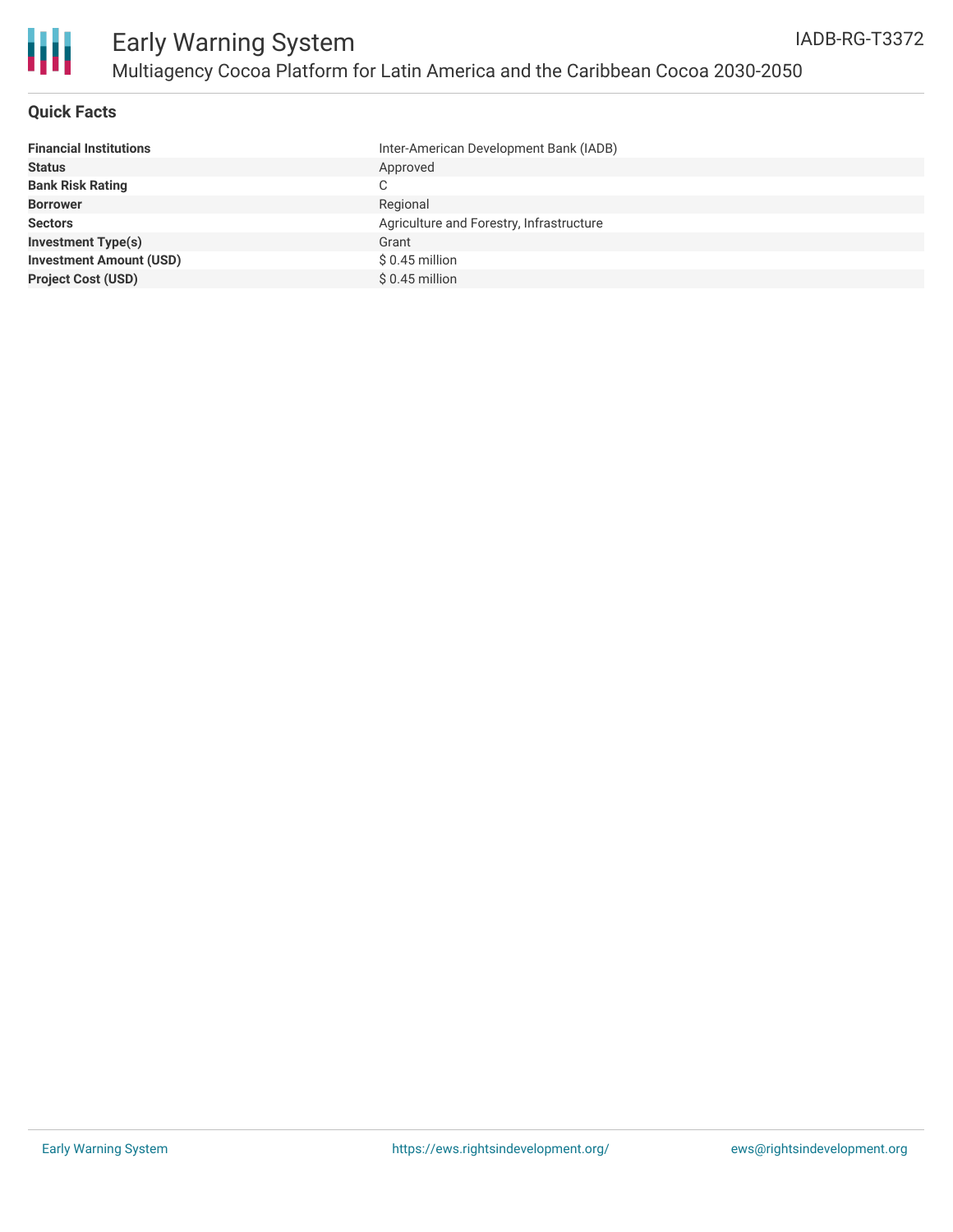

#### **Quick Facts**

| <b>Financial Institutions</b>  | Inter-American Development Bank (IADB)   |
|--------------------------------|------------------------------------------|
| <b>Status</b>                  | Approved                                 |
| <b>Bank Risk Rating</b>        | C.                                       |
| <b>Borrower</b>                | Regional                                 |
| <b>Sectors</b>                 | Agriculture and Forestry, Infrastructure |
| <b>Investment Type(s)</b>      | Grant                                    |
| <b>Investment Amount (USD)</b> | $$0.45$ million                          |
| <b>Project Cost (USD)</b>      | $$0.45$ million                          |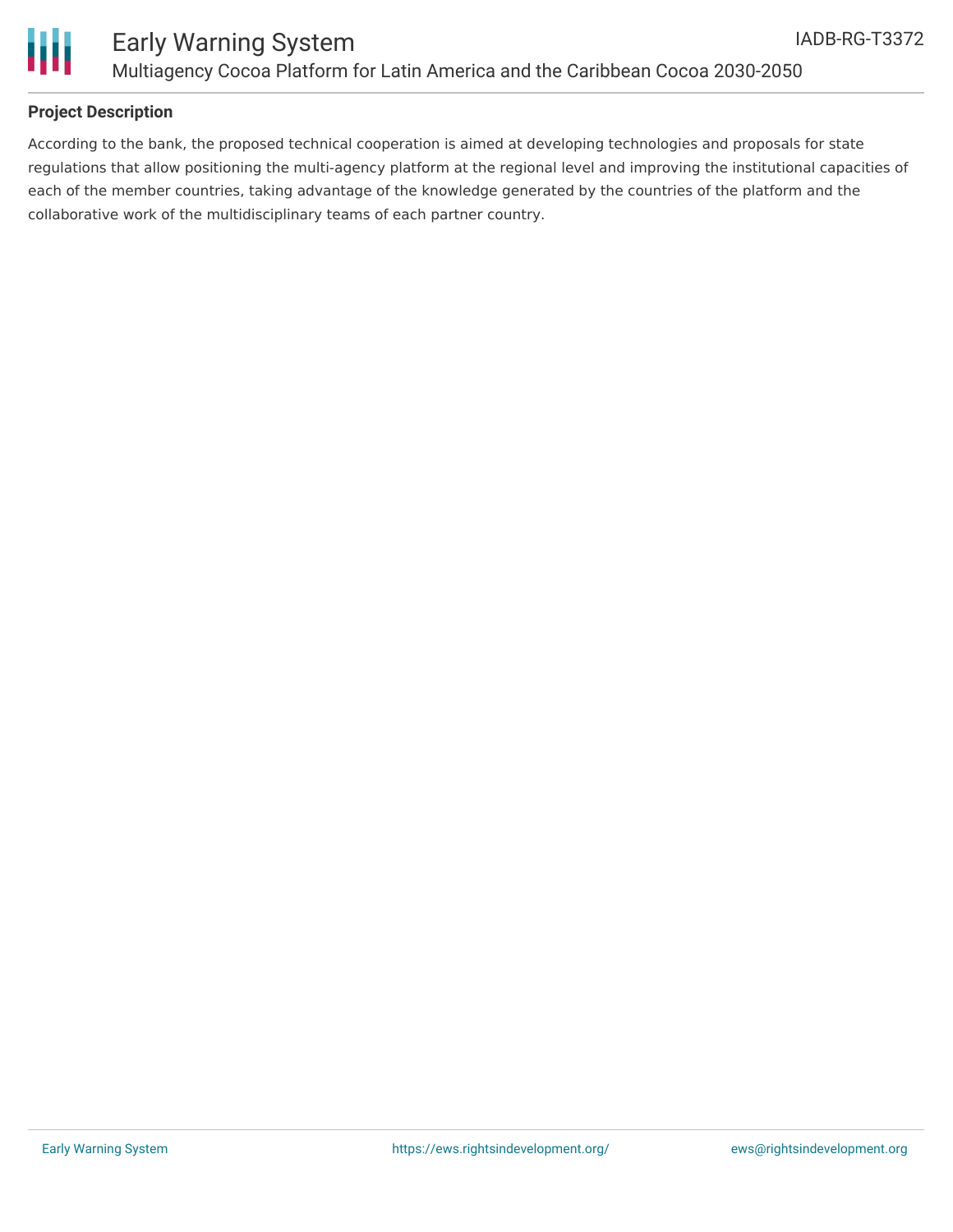



## **Project Description**

According to the bank, the proposed technical cooperation is aimed at developing technologies and proposals for state regulations that allow positioning the multi-agency platform at the regional level and improving the institutional capacities of each of the member countries, taking advantage of the knowledge generated by the countries of the platform and the collaborative work of the multidisciplinary teams of each partner country.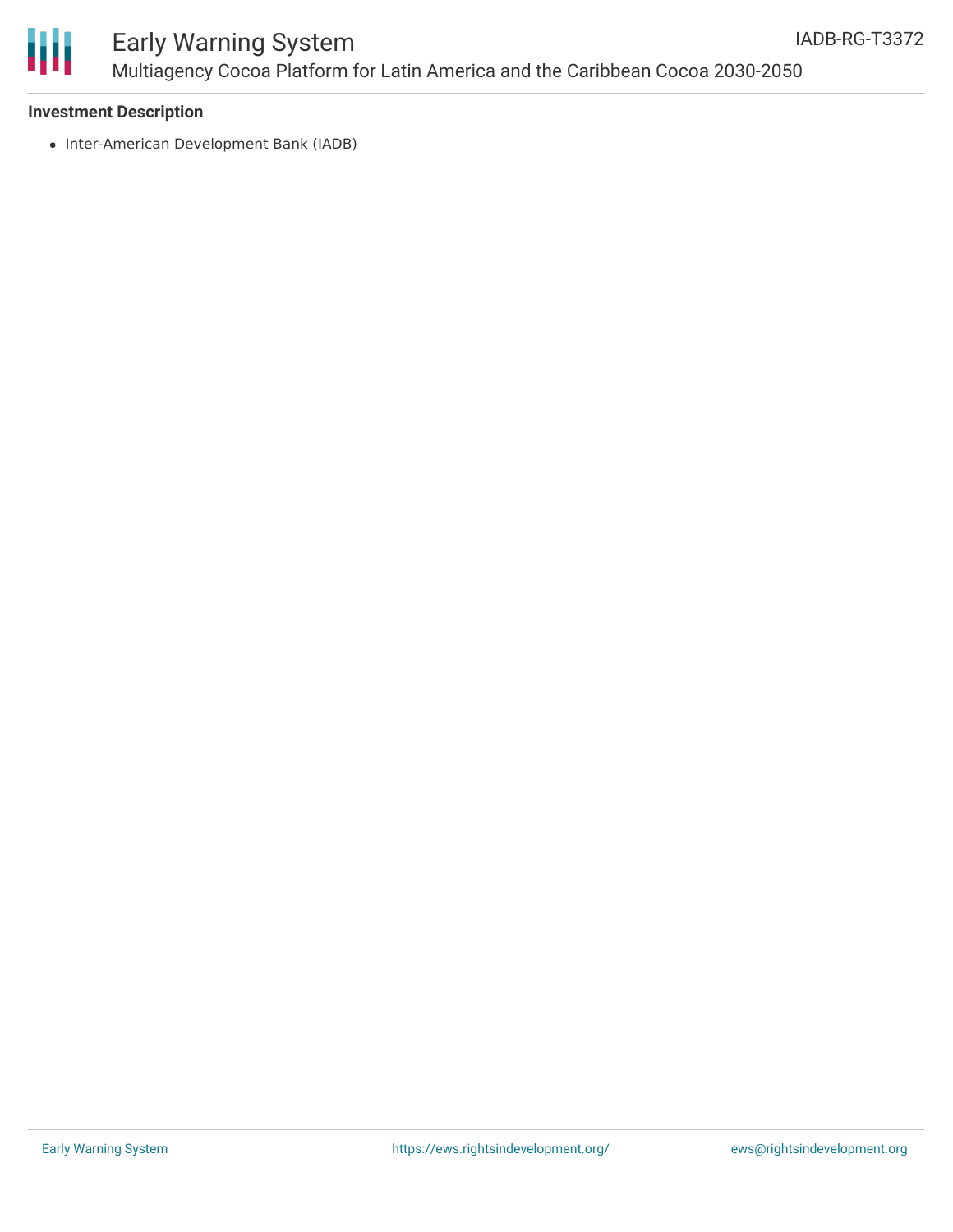

# Ш

## Early Warning System Multiagency Cocoa Platform for Latin America and the Caribbean Cocoa 2030-2050

## **Investment Description**

• Inter-American Development Bank (IADB)